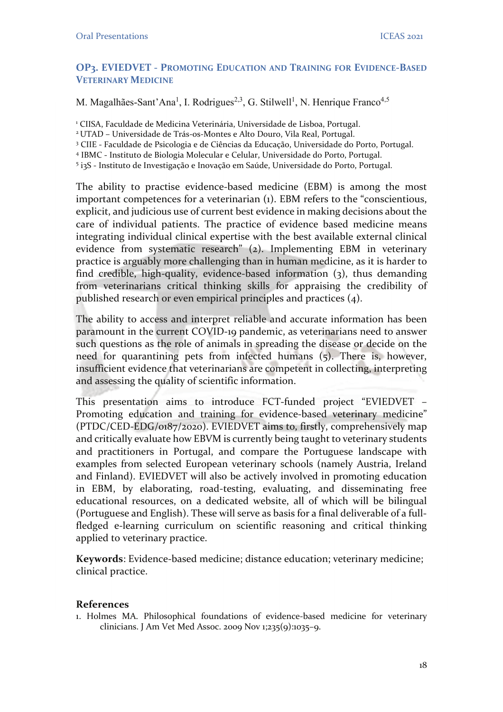## OP3. EVIEDVET - PROMOTING EDUCATION AND TRAINING FOR EVIDENCE-BASED VETERINARY MEDICINE

M. Magalhães-Sant'Ana<sup>1</sup>, I. Rodrigues<sup>2,3</sup>, G. Stilwell<sup>1</sup>, N. Henrique Franco<sup>4,5</sup>

<sup>1</sup> CIISA, Faculdade de Medicina Veterinária, Universidade de Lisboa, Portugal.

<sup>2</sup>UTAD – Universidade de Trás-os-Montes e Alto Douro, Vila Real, Portugal.

3 CIIE - Faculdade de Psicologia e de Ciências da Educação, Universidade do Porto, Portugal.

4 IBMC - Instituto de Biologia Molecular e Celular, Universidade do Porto, Portugal.

5 i3S - Instituto de Investigação e Inovação em Saúde, Universidade do Porto, Portugal.

The ability to practise evidence-based medicine (EBM) is among the most important competences for a veterinarian (1). EBM refers to the "conscientious, explicit, and judicious use of current best evidence in making decisions about the care of individual patients. The practice of evidence based medicine means integrating individual clinical expertise with the best available external clinical evidence from systematic research" (2). Implementing EBM in veterinary practice is arguably more challenging than in human medicine, as it is harder to find credible, high-quality, evidence-based information (3), thus demanding from veterinarians critical thinking skills for appraising the credibility of published research or even empirical principles and practices (4).

The ability to access and interpret reliable and accurate information has been paramount in the current COVID-19 pandemic, as veterinarians need to answer such questions as the role of animals in spreading the disease or decide on the need for quarantining pets from infected humans (5). There is, however, insufficient evidence that veterinarians are competent in collecting, interpreting and assessing the quality of scientific information.

This presentation aims to introduce FCT-funded project "EVIEDVET – Promoting education and training for evidence-based veterinary medicine" (PTDC/CED-EDG/0187/2020). EVIEDVET aims to, firstly, comprehensively map and critically evaluate how EBVM is currently being taught to veterinary students and practitioners in Portugal, and compare the Portuguese landscape with examples from selected European veterinary schools (namely Austria, Ireland and Finland). EVIEDVET will also be actively involved in promoting education in EBM, by elaborating, road-testing, evaluating, and disseminating free educational resources, on a dedicated website, all of which will be bilingual (Portuguese and English). These will serve as basis for a final deliverable of a fullfledged e-learning curriculum on scientific reasoning and critical thinking applied to veterinary practice.

Keywords: Evidence-based medicine; distance education; veterinary medicine; clinical practice.

## References

1. Holmes MA. Philosophical foundations of evidence-based medicine for veterinary clinicians. J Am Vet Med Assoc. 2009 Nov 1;235(9):1035–9.